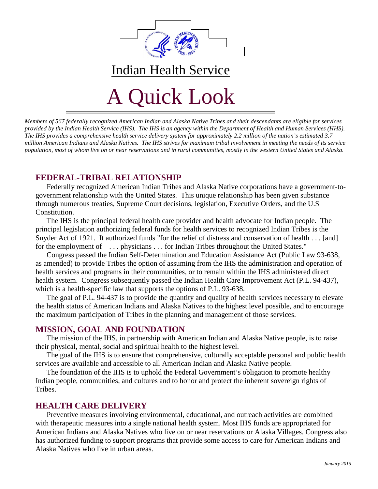

# A Quick Look

Indian Health Service

*Members of 567 federally recognized American Indian and Alaska Native Tribes and their descendants are eligible for services provided by the Indian Health Service (IHS). The IHS is an agency within the Department of Health and Human Services (HHS). The IHS provides a comprehensive health service delivery system for approximately 2.2 million of the nation's estimated 3.7 million American Indians and Alaska Natives. The IHS strives for maximum tribal involvement in meeting the needs of its service population, most of whom live on or near reservations and in rural communities, mostly in the western United States and Alaska.* 

# **FEDERAL-TRIBAL RELATIONSHIP**

Federally recognized American Indian Tribes and Alaska Native corporations have a government-togovernment relationship with the United States. This unique relationship has been given substance through numerous treaties, Supreme Court decisions, legislation, Executive Orders, and the U.S Constitution.

 The IHS is the principal federal health care provider and health advocate for Indian people. The principal legislation authorizing federal funds for health services to recognized Indian Tribes is the Snyder Act of 1921. It authorized funds "for the relief of distress and conservation of health . . . [and] for the employment of ... physicians ... for Indian Tribes throughout the United States."

 Congress passed the Indian Self-Determination and Education Assistance Act (Public Law 93-638, as amended) to provide Tribes the option of assuming from the IHS the administration and operation of health services and programs in their communities, or to remain within the IHS administered direct health system. Congress subsequently passed the Indian Health Care Improvement Act (P.L. 94-437), which is a health-specific law that supports the options of P.L. 93-638.

 The goal of P.L. 94-437 is to provide the quantity and quality of health services necessary to elevate the health status of American Indians and Alaska Natives to the highest level possible, and to encourage the maximum participation of Tribes in the planning and management of those services.

## **MISSION, GOAL AND FOUNDATION**

The mission of the IHS, in partnership with American Indian and Alaska Native people, is to raise their physical, mental, social and spiritual health to the highest level.

The goal of the IHS is to ensure that comprehensive, culturally acceptable personal and public health services are available and accessible to all American Indian and Alaska Native people.

The foundation of the IHS is to uphold the Federal Government's obligation to promote healthy Indian people, communities, and cultures and to honor and protect the inherent sovereign rights of Tribes.

## **HEALTH CARE DELIVERY**

Preventive measures involving environmental, educational, and outreach activities are combined with therapeutic measures into a single national health system. Most IHS funds are appropriated for American Indians and Alaska Natives who live on or near reservations or Alaska Villages. Congress also has authorized funding to support programs that provide some access to care for American Indians and Alaska Natives who live in urban areas.